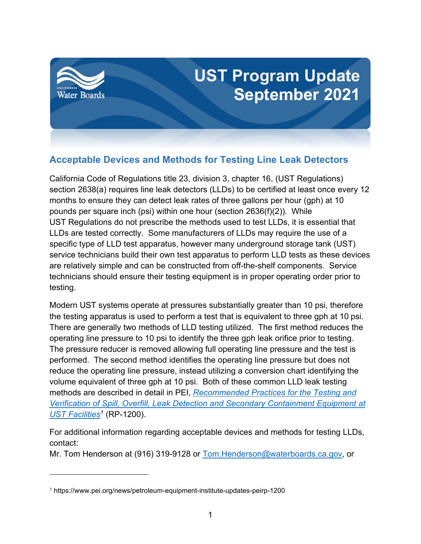

## **Acceptable Devices and Methods for Testing Line Leak Detectors**

California Code of Regulations title 23, division 3, chapter 16, (UST Regulations) section 2638(a) requires line leak detectors (LLDs) to be certified at least once every 12 months to ensure they can detect leak rates of three gallons per hour (gph) at 10 pounds per square inch (psi) within one hour (section 2636(f)(2)). While UST Regulations do not prescribe the methods used to test LLDs, it is essential that LLDs are tested correctly. Some manufacturers of LLDs may require the use of a specific type of LLD test apparatus, however many underground storage tank (UST) service technicians build their own test apparatus to perform LLD tests as these devices are relatively simple and can be constructed from off-the-shelf components. Service technicians should ensure their testing equipment is in proper operating order prior to testing.

Modern UST systems operate at pressures substantially greater than 10 psi, therefore the testing apparatus is used to perform a test that is equivalent to three gph at 10 psi. There are generally two methods of LLD testing utilized. The first method reduces the operating line pressure to 10 psi to identify the three gph leak orifice prior to testing. The pressure reducer is removed allowing full operating line pressure and the test is performed. The second method identifies the operating line pressure but does not reduce the operating line pressure, instead utilizing a conversion chart identifying the volume equivalent of three gph at 10 psi. Both of these common LLD leak testing methods are described in detail in PEI, *[Recommended Practices for the Testing and](https://www.pei.org/news/petroleum-equipment-institute-updates-peirp-1200)  [Verification of Spill, Overfill, Leak Detection and Secondary Containment Equipment at](https://www.pei.org/news/petroleum-equipment-institute-updates-peirp-1200)  [UST Facilities](https://www.pei.org/news/petroleum-equipment-institute-updates-peirp-1200)[1](#page-0-0)* (RP-1200).

For additional information regarding acceptable devices and methods for testing LLDs, contact:

Mr. Tom Henderson at (916) 319-9128 or [Tom.Henderson@waterboards.ca.gov,](mailto:Tom.Henderson@waterboards.ca.gov) or

<span id="page-0-0"></span><sup>1</sup> https://www.pei.org/news/petroleum-equipment-institute-updates-peirp-1200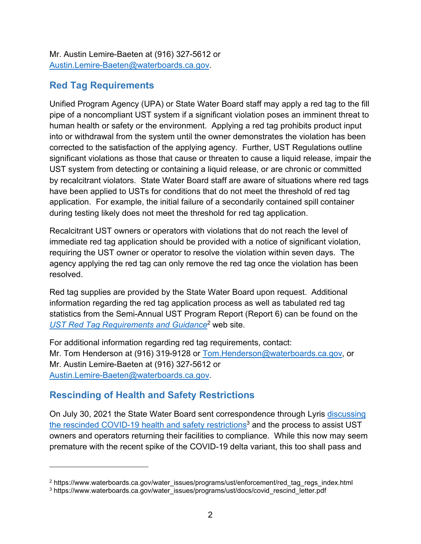Mr. Austin Lemire-Baeten at (916) 327-5612 or [Austin.Lemire-Baeten@waterboards.ca.gov](mailto:Austin.Lemire-Baeten@waterboards.ca.gov).

## **Red Tag Requirements**

Unified Program Agency (UPA) or State Water Board staff may apply a red tag to the fill pipe of a noncompliant UST system if a significant violation poses an imminent threat to human health or safety or the environment. Applying a red tag prohibits product input into or withdrawal from the system until the owner demonstrates the violation has been corrected to the satisfaction of the applying agency. Further, UST Regulations outline significant violations as those that cause or threaten to cause a liquid release, impair the UST system from detecting or containing a liquid release, or are chronic or committed by recalcitrant violators. State Water Board staff are aware of situations where red tags have been applied to USTs for conditions that do not meet the threshold of red tag application. For example, the initial failure of a secondarily contained spill container during testing likely does not meet the threshold for red tag application.

Recalcitrant UST owners or operators with violations that do not reach the level of immediate red tag application should be provided with a notice of significant violation, requiring the UST owner or operator to resolve the violation within seven days. The agency applying the red tag can only remove the red tag once the violation has been resolved.

Red tag supplies are provided by the State Water Board upon request. Additional information regarding the red tag application process as well as tabulated red tag statistics from the Semi-Annual UST Program Report (Report 6) can be found on the *[UST Red Tag Requirements and Guidance](https://www.waterboards.ca.gov/water_issues/programs/ust/enforcement/red_tag_regs_index.html)[2](#page-1-0)* web site.

For additional information regarding red tag requirements, contact: Mr. Tom Henderson at (916) 319-9128 or [Tom.Henderson@waterboards.ca.gov,](mailto:Tom.Henderson@waterboards.ca.gov) or Mr. Austin Lemire-Baeten at (916) 327-5612 or [Austin.Lemire-Baeten@waterboards.ca.gov](mailto:Austin.Lemire-Baeten@waterboards.ca.gov).

## **Rescinding of Health and Safety Restrictions**

On July 30, 2021 the State Water Board sent correspondence through Lyris [discussing](https://www.waterboards.ca.gov/water_issues/programs/ust/docs/covid_rescind_letter.pdf)  [the rescinded COVID-19 health and safety restrictions](https://www.waterboards.ca.gov/water_issues/programs/ust/docs/covid_rescind_letter.pdf)<sup>[3](#page-1-1)</sup> and the process to assist UST owners and operators returning their facilities to compliance. While this now may seem premature with the recent spike of the COVID-19 delta variant, this too shall pass and

<span id="page-1-0"></span><sup>2</sup> https://www.waterboards.ca.gov/water\_issues/programs/ust/enforcement/red\_tag\_regs\_index.html

<span id="page-1-1"></span><sup>3</sup> https://www.waterboards.ca.gov/water\_issues/programs/ust/docs/covid\_rescind\_letter.pdf